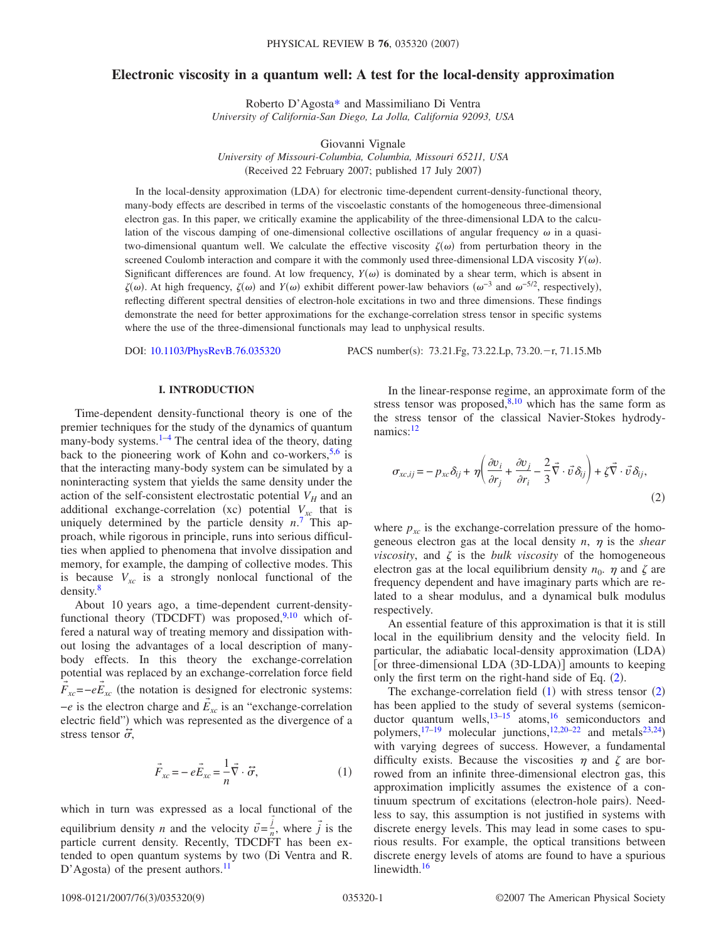# **Electronic viscosity in a quantum well: A test for the local-density approximation**

Roberto D'Agost[a\\*](#page-8-0) and Massimiliano Di Ventra *University of California-San Diego, La Jolla, California 92093, USA*

Giovanni Vignale *University of Missouri-Columbia, Columbia, Missouri 65211, USA* (Received 22 February 2007; published 17 July 2007)

In the local-density approximation (LDA) for electronic time-dependent current-density-functional theory, many-body effects are described in terms of the viscoelastic constants of the homogeneous three-dimensional electron gas. In this paper, we critically examine the applicability of the three-dimensional LDA to the calculation of the viscous damping of one-dimensional collective oscillations of angular frequency  $\omega$  in a quasitwo-dimensional quantum well. We calculate the effective viscosity  $\zeta(\omega)$  from perturbation theory in the screened Coulomb interaction and compare it with the commonly used three-dimensional LDA viscosity  $Y(\omega)$ . Significant differences are found. At low frequency,  $Y(\omega)$  is dominated by a shear term, which is absent in  $\zeta(\omega)$ . At high frequency,  $\zeta(\omega)$  and  $Y(\omega)$  exhibit different power-law behaviors  $(\omega^{-3}$  and  $\omega^{-5/2}$ , respectively), reflecting different spectral densities of electron-hole excitations in two and three dimensions. These findings demonstrate the need for better approximations for the exchange-correlation stress tensor in specific systems where the use of the three-dimensional functionals may lead to unphysical results.

DOI: [10.1103/PhysRevB.76.035320](http://dx.doi.org/10.1103/PhysRevB.76.035320)

PACS number(s): 73.21.Fg, 73.22.Lp, 73.20.-r, 71.15.Mb

## **I. INTRODUCTION**

Time-dependent density-functional theory is one of the premier techniques for the study of the dynamics of quantum many-body systems. $1-4$  $1-4$  The central idea of the theory, dating back to the pioneering work of Kohn and co-workers,  $5,6$  $5,6$  is that the interacting many-body system can be simulated by a noninteracting system that yields the same density under the action of the self-consistent electrostatic potential  $V_H$  and an additional exchange-correlation (xc) potential  $V_{xc}$  that is uniquely determined by the particle density  $n^7$  $n^7$ . This approach, while rigorous in principle, runs into serious difficulties when applied to phenomena that involve dissipation and memory, for example, the damping of collective modes. This is because  $V_{xc}$  is a strongly nonlocal functional of the density.<sup>8</sup>

About 10 years ago, a time-dependent current-density-functional theory (TDCDFT) was proposed,<sup>9[,10](#page-8-8)</sup> which offered a natural way of treating memory and dissipation without losing the advantages of a local description of manybody effects. In this theory the exchange-correlation potential was replaced by an exchange-correlation force field  $\vec{F}_{\textit{xc}}$  =− $e\vec{E}_{\textit{xc}}$  (the notation is designed for electronic systems: −*e* is the electron charge and *E xc* is an "exchange-correlation → electric field") which was represented as the divergence of a stress tensor  $\ddot{\sigma}$ ,

$$
\vec{F}_{xc} = -e\vec{E}_{xc} = -\frac{1}{n}\vec{\nabla} \cdot \vec{\sigma},\tag{1}
$$

<span id="page-0-1"></span>which in turn was expressed as a local functional of the equilibrium density *n* and the velocity  $\vec{v} = \frac{i}{n}$ , where  $\vec{j}$  is the particle current density. Recently, TDCDFT has been extended to open quantum systems by two Di Ventra and R. D'Agosta) of the present authors.<sup>11</sup>

In the linear-response regime, an approximate form of the stress tensor was proposed, $8,10$  $8,10$  which has the same form as the stress tensor of the classical Navier-Stokes hydrodynamics: $12$ 

<span id="page-0-0"></span>
$$
\sigma_{xc,ij} = -p_{xc}\delta_{ij} + \eta \left( \frac{\partial v_i}{\partial r_j} + \frac{\partial v_j}{\partial r_i} - \frac{2}{3} \vec{\nabla} \cdot \vec{v} \delta_{ij} \right) + \zeta \vec{\nabla} \cdot \vec{v} \delta_{ij},
$$
\n(2)

where  $p_{xc}$  is the exchange-correlation pressure of the homogeneous electron gas at the local density  $n$ ,  $\eta$  is the *shear viscosity*, and  $\zeta$  is the *bulk viscosity* of the homogeneous electron gas at the local equilibrium density  $n_0$ .  $\eta$  and  $\zeta$  are frequency dependent and have imaginary parts which are related to a shear modulus, and a dynamical bulk modulus respectively.

An essential feature of this approximation is that it is still local in the equilibrium density and the velocity field. In particular, the adiabatic local-density approximation (LDA) [or three-dimensional LDA (3D-LDA)] amounts to keeping only the first term on the right-hand side of Eq.  $(2)$  $(2)$  $(2)$ .

The exchange-correlation field  $(1)$  $(1)$  $(1)$  with stress tensor  $(2)$  $(2)$  $(2)$ has been applied to the study of several systems (semiconductor quantum wells,  $13-15$  atoms,  $16$  semiconductors and polymers,<sup>17–[19](#page-8-15)</sup> molecular junctions,<sup>12[,20–](#page-8-16)[22](#page-8-17)</sup> and metals<sup>23,[24](#page-8-19)</sup>) with varying degrees of success. However, a fundamental difficulty exists. Because the viscosities  $\eta$  and  $\zeta$  are borrowed from an infinite three-dimensional electron gas, this approximation implicitly assumes the existence of a continuum spectrum of excitations (electron-hole pairs). Needless to say, this assumption is not justified in systems with discrete energy levels. This may lead in some cases to spurious results. For example, the optical transitions between discrete energy levels of atoms are found to have a spurious linewidth.<sup>16</sup>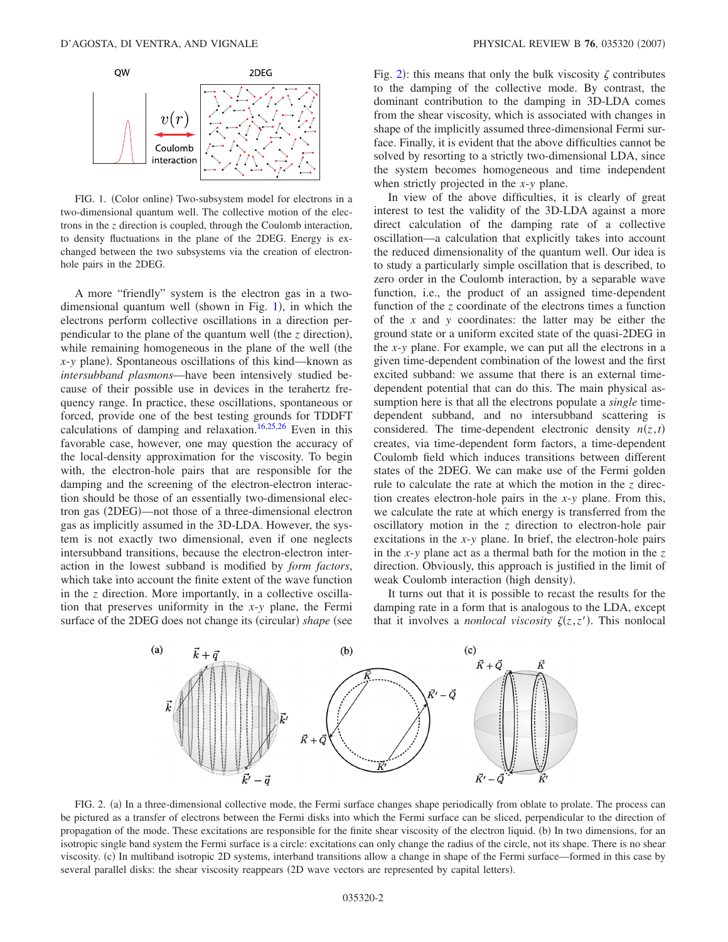<span id="page-1-0"></span>

FIG. 1. (Color online) Two-subsystem model for electrons in a two-dimensional quantum well. The collective motion of the electrons in the *z* direction is coupled, through the Coulomb interaction, to density fluctuations in the plane of the 2DEG. Energy is exchanged between the two subsystems via the creation of electronhole pairs in the 2DEG.

A more "friendly" system is the electron gas in a two-dimensional quantum well (shown in Fig. [1](#page-1-0)), in which the electrons perform collective oscillations in a direction perpendicular to the plane of the quantum well (the *z* direction), while remaining homogeneous in the plane of the well (the  $x$ -y plane). Spontaneous oscillations of this kind—known as *intersubband plasmons*—have been intensively studied because of their possible use in devices in the terahertz frequency range. In practice, these oscillations, spontaneous or forced, provide one of the best testing grounds for TDDFT calculations of damping and relaxation.<sup>16[,25,](#page-8-20)[26](#page-8-21)</sup> Even in this favorable case, however, one may question the accuracy of the local-density approximation for the viscosity. To begin with, the electron-hole pairs that are responsible for the damping and the screening of the electron-electron interaction should be those of an essentially two-dimensional electron gas (2DEG)—not those of a three-dimensional electron gas as implicitly assumed in the 3D-LDA. However, the system is not exactly two dimensional, even if one neglects intersubband transitions, because the electron-electron interaction in the lowest subband is modified by *form factors*, which take into account the finite extent of the wave function in the *z* direction. More importantly, in a collective oscillation that preserves uniformity in the *x*-*y* plane, the Fermi surface of the 2DEG does not change its (circular) shape (see

Fig. [2](#page-1-1)): this means that only the bulk viscosity  $\zeta$  contributes to the damping of the collective mode. By contrast, the dominant contribution to the damping in 3D-LDA comes from the shear viscosity, which is associated with changes in shape of the implicitly assumed three-dimensional Fermi surface. Finally, it is evident that the above difficulties cannot be solved by resorting to a strictly two-dimensional LDA, since the system becomes homogeneous and time independent when strictly projected in the *x*-*y* plane.

In view of the above difficulties, it is clearly of great interest to test the validity of the 3D-LDA against a more direct calculation of the damping rate of a collective oscillation—a calculation that explicitly takes into account the reduced dimensionality of the quantum well. Our idea is to study a particularly simple oscillation that is described, to zero order in the Coulomb interaction, by a separable wave function, i.e., the product of an assigned time-dependent function of the *z* coordinate of the electrons times a function of the *x* and *y* coordinates: the latter may be either the ground state or a uniform excited state of the quasi-2DEG in the *x*-*y* plane. For example, we can put all the electrons in a given time-dependent combination of the lowest and the first excited subband: we assume that there is an external timedependent potential that can do this. The main physical assumption here is that all the electrons populate a *single* timedependent subband, and no intersubband scattering is considered. The time-dependent electronic density  $n(z,t)$ creates, via time-dependent form factors, a time-dependent Coulomb field which induces transitions between different states of the 2DEG. We can make use of the Fermi golden rule to calculate the rate at which the motion in the *z* direction creates electron-hole pairs in the *x*-*y* plane. From this, we calculate the rate at which energy is transferred from the oscillatory motion in the *z* direction to electron-hole pair excitations in the *x*-*y* plane. In brief, the electron-hole pairs in the *x*-*y* plane act as a thermal bath for the motion in the *z* direction. Obviously, this approach is justified in the limit of weak Coulomb interaction (high density).

It turns out that it is possible to recast the results for the damping rate in a form that is analogous to the LDA, except that it involves a *nonlocal viscosity*  $\zeta(z, z')$ . This nonlocal

<span id="page-1-1"></span>

FIG. 2. (a) In a three-dimensional collective mode, the Fermi surface changes shape periodically from oblate to prolate. The process can be pictured as a transfer of electrons between the Fermi disks into which the Fermi surface can be sliced, perpendicular to the direction of propagation of the mode. These excitations are responsible for the finite shear viscosity of the electron liquid. (b) In two dimensions, for an isotropic single band system the Fermi surface is a circle: excitations can only change the radius of the circle, not its shape. There is no shear viscosity. (c) In multiband isotropic 2D systems, interband transitions allow a change in shape of the Fermi surface—formed in this case by several parallel disks: the shear viscosity reappears (2D wave vectors are represented by capital letters).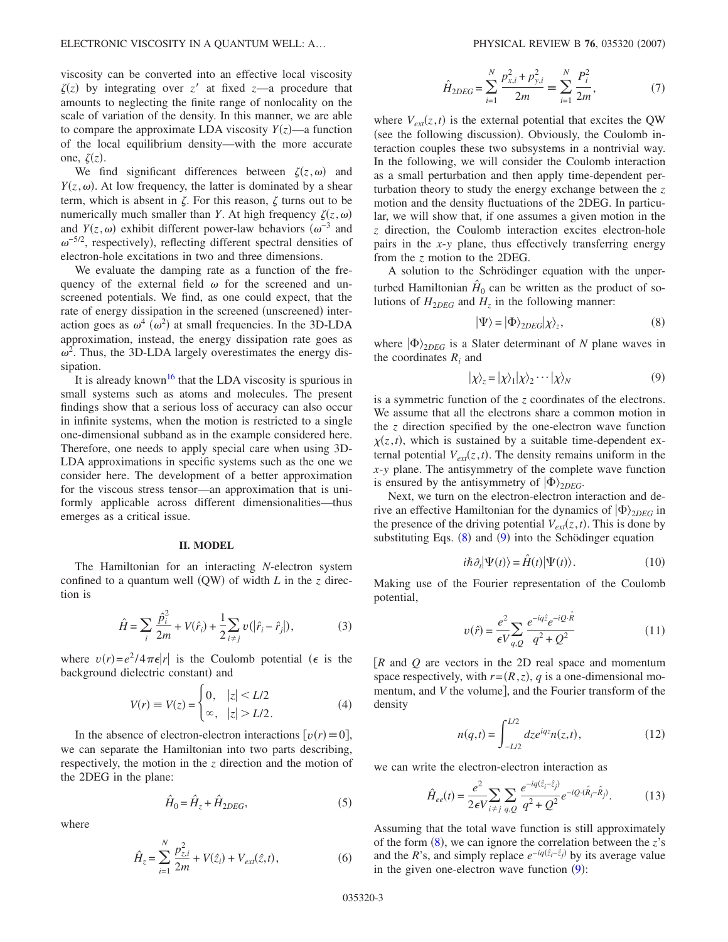viscosity can be converted into an effective local viscosity  $\zeta(z)$  by integrating over *z'* at fixed *z*—a procedure that amounts to neglecting the finite range of nonlocality on the scale of variation of the density. In this manner, we are able to compare the approximate LDA viscosity  $Y(z)$ —a function of the local equilibrium density—with the more accurate one,  $\zeta(z)$ .

We find significant differences between  $\zeta(z,\omega)$  and  $Y(z, \omega)$ . At low frequency, the latter is dominated by a shear term, which is absent in  $\zeta$ . For this reason,  $\zeta$  turns out to be numerically much smaller than *Y*. At high frequency  $\zeta(z,\omega)$ and  $Y(z, \omega)$  exhibit different power-law behaviors  $(\omega^{-3}$  and  $\omega^{-5/2}$ , respectively), reflecting different spectral densities of electron-hole excitations in two and three dimensions.

We evaluate the damping rate as a function of the frequency of the external field  $\omega$  for the screened and unscreened potentials. We find, as one could expect, that the rate of energy dissipation in the screened (unscreened) interaction goes as  $\omega^4$  ( $\omega^2$ ) at small frequencies. In the 3D-LDA approximation, instead, the energy dissipation rate goes as  $\omega^2$ . Thus, the 3D-LDA largely overestimates the energy dissipation.

It is already known<sup>16</sup> that the LDA viscosity is spurious in small systems such as atoms and molecules. The present findings show that a serious loss of accuracy can also occur in infinite systems, when the motion is restricted to a single one-dimensional subband as in the example considered here. Therefore, one needs to apply special care when using 3D-LDA approximations in specific systems such as the one we consider here. The development of a better approximation for the viscous stress tensor—an approximation that is uniformly applicable across different dimensionalities—thus emerges as a critical issue.

#### **II. MODEL**

The Hamiltonian for an interacting *N*-electron system confined to a quantum well  $(QW)$  of width  $L$  in the  $z$  direction is

$$
\hat{H} = \sum_{i} \frac{\hat{p}_i^2}{2m} + V(\hat{r}_i) + \frac{1}{2} \sum_{i \neq j} v(|\hat{r}_i - \hat{r}_j|),
$$
 (3)

where  $v(r) = e^2/4 \pi \epsilon |r|$  is the Coulomb potential ( $\epsilon$  is the background dielectric constant) and

$$
V(r) \equiv V(z) = \begin{cases} 0, & |z| < L/2 \\ \infty, & |z| > L/2. \end{cases}
$$
 (4)

In the absence of electron-electron interactions  $[v(r) = 0]$ , we can separate the Hamiltonian into two parts describing, respectively, the motion in the *z* direction and the motion of the 2DEG in the plane:

$$
\hat{H}_0 = \hat{H}_z + \hat{H}_{2DEG},\tag{5}
$$

where

$$
\hat{H}_z = \sum_{i=1}^N \frac{p_{z,i}^2}{2m} + V(\hat{z}_i) + V_{ext}(\hat{z}, t),
$$
\n(6)

$$
\hat{H}_{2DEG} = \sum_{i=1}^{N} \frac{p_{x,i}^2 + p_{y,i}^2}{2m} \equiv \sum_{i=1}^{N} \frac{P_i^2}{2m},\tag{7}
$$

where  $V_{ext}(z, t)$  is the external potential that excites the QW (see the following discussion). Obviously, the Coulomb interaction couples these two subsystems in a nontrivial way. In the following, we will consider the Coulomb interaction as a small perturbation and then apply time-dependent perturbation theory to study the energy exchange between the *z* motion and the density fluctuations of the 2DEG. In particular, we will show that, if one assumes a given motion in the *z* direction, the Coulomb interaction excites electron-hole pairs in the *x*-*y* plane, thus effectively transferring energy from the *z* motion to the 2DEG.

A solution to the Schrödinger equation with the unperturbed Hamiltonian  $\hat{H}_0$  can be written as the product of solutions of  $H_{2DEG}$  and  $H_z$  in the following manner:

$$
|\Psi\rangle = |\Phi\rangle_{2DEG} |\chi\rangle_z,\tag{8}
$$

<span id="page-2-0"></span>where  $|\Phi\rangle_{2DEG}$  is a Slater determinant of *N* plane waves in the coordinates *Ri* and

$$
|\chi\rangle_z = |\chi\rangle_1 |\chi\rangle_2 \cdots |\chi\rangle_N \tag{9}
$$

<span id="page-2-1"></span>is a symmetric function of the *z* coordinates of the electrons. We assume that all the electrons share a common motion in the *z* direction specified by the one-electron wave function  $\chi(z, t)$ , which is sustained by a suitable time-dependent external potential  $V_{ext}(z, t)$ . The density remains uniform in the *x*-*y* plane. The antisymmetry of the complete wave function is ensured by the antisymmetry of  $|\Phi\rangle_{2DEG}$ .

Next, we turn on the electron-electron interaction and derive an effective Hamiltonian for the dynamics of  $|\Phi\rangle_{2DEG}$  in the presence of the driving potential  $V_{ext}(z, t)$ . This is done by substituting Eqs. ([8](#page-2-0)) and ([9](#page-2-1)) into the Schödinger equation

$$
i\hbar \partial_t |\Psi(t)\rangle = \hat{H}(t) |\Psi(t)\rangle.
$$
 (10)

Making use of the Fourier representation of the Coulomb potential,

$$
v(\hat{r}) = \frac{e^2}{\epsilon V_{q,Q}} \sum_{q} \frac{e^{-iq\hat{z}}e^{-iQ\cdot\hat{R}}}{q^2 + Q^2}
$$
 (11)

*R* and *Q* are vectors in the 2D real space and momentum space respectively, with  $r=(R, z)$ , q is a one-dimensional momentum, and *V* the volume, and the Fourier transform of the density

$$
n(q,t) = \int_{-L/2}^{L/2} dz e^{iqz} n(z,t),
$$
 (12)

we can write the electron-electron interaction as

$$
\hat{H}_{ee}(t) = \frac{e^2}{2\epsilon V} \sum_{i \neq j} \sum_{q,Q} \frac{e^{-iq(\hat{z}_i - \hat{z}_j)}}{q^2 + Q^2} e^{-iQ \cdot (\hat{R}_i - \hat{R}_j)}.
$$
(13)

Assuming that the total wave function is still approximately of the form  $(8)$  $(8)$  $(8)$ , we can ignore the correlation between the *z*'s and the *R*'s, and simply replace  $e^{-iq(\hat{z}_i - \hat{z}_j)}$  by its average value in the given one-electron wave function  $(9)$  $(9)$  $(9)$ :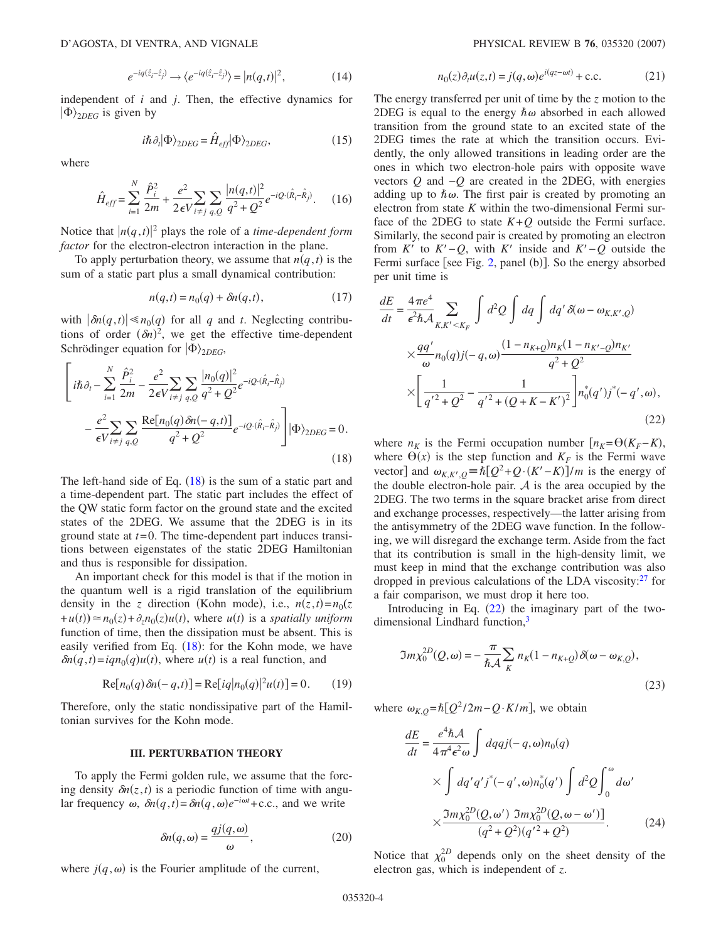$$
e^{-iq(\hat{z}_i - \hat{z}_j)} \longrightarrow \langle e^{-iq(\hat{z}_i - \hat{z}_j)} \rangle = |n(q, t)|^2, \tag{14}
$$

independent of *i* and *j*. Then, the effective dynamics for  $|\Phi\rangle_{2DEG}$  is given by

$$
i\hbar \partial_t |\Phi\rangle_{2DEG} = \hat{H}_{eff} |\Phi\rangle_{2DEG},\tag{15}
$$

where

$$
\hat{H}_{eff} = \sum_{i=1}^{N} \frac{\hat{P}_i^2}{2m} + \frac{e^2}{2\epsilon V} \sum_{i \neq j} \sum_{q,Q} \frac{|n(q,t)|^2}{q^2 + Q^2} e^{-iQ \cdot (\hat{R}_i - \hat{R}_j)}.
$$
 (16)

Notice that  $|n(q,t)|^2$  plays the role of a *time-dependent form factor* for the electron-electron interaction in the plane.

To apply perturbation theory, we assume that  $n(q, t)$  is the sum of a static part plus a small dynamical contribution:

$$
n(q,t) = n_0(q) + \delta n(q,t),\tag{17}
$$

with  $|\delta n(q,t)| \ll n_0(q)$  for all *q* and *t*. Neglecting contributions of order  $(\delta n)^2$ , we get the effective time-dependent Schrödinger equation for  $|\Phi\rangle_{2DEG}$ ,

<span id="page-3-0"></span>
$$
\left[i\hbar\partial_{t} - \sum_{i=1}^{N} \frac{\hat{P}_{i}^{2}}{2m} - \frac{e^{2}}{2\epsilon V}\sum_{i \neq j} \sum_{q,Q} \frac{|n_{0}(q)|^{2}}{q^{2} + Q^{2}} e^{-iQ \cdot (\hat{R}_{i} - \hat{R}_{j})} - \frac{e^{2}}{\epsilon V}\sum_{i \neq j} \sum_{q,Q} \frac{\text{Re}[n_{0}(q)\delta n(-q,t)]}{q^{2} + Q^{2}} e^{-iQ \cdot (\hat{R}_{i} - \hat{R}_{j})}\right] |\Phi\rangle_{2DEG} = 0.
$$
\n(18)

The left-hand side of Eq.  $(18)$  $(18)$  $(18)$  is the sum of a static part and a time-dependent part. The static part includes the effect of the QW static form factor on the ground state and the excited states of the 2DEG. We assume that the 2DEG is in its ground state at *t*=0. The time-dependent part induces transitions between eigenstates of the static 2DEG Hamiltonian and thus is responsible for dissipation.

An important check for this model is that if the motion in the quantum well is a rigid translation of the equilibrium density in the *z* direction (Kohn mode), i.e.,  $n(z,t) = n_0(z)$  $+u(t) \approx n_0(z) + \partial_z n_0(z)u(t)$ , where  $u(t)$  is a *spatially uniform* function of time, then the dissipation must be absent. This is easily verified from Eq.  $(18)$  $(18)$  $(18)$ : for the Kohn mode, we have  $\delta n(q, t) = iqn_0(q)u(t)$ , where  $u(t)$  is a real function, and

$$
Re[n_0(q)\delta n(-q,t)] = Re[iq|n_0(q)|^2 u(t)] = 0.
$$
 (19)

Therefore, only the static nondissipative part of the Hamiltonian survives for the Kohn mode.

## **III. PERTURBATION THEORY**

To apply the Fermi golden rule, we assume that the forcing density  $\delta n(z, t)$  is a periodic function of time with angular frequency  $\omega$ ,  $\delta n(q, t) = \delta n(q, \omega)e^{-i\omega t} + c.c.$ , and we write

$$
\delta n(q,\omega) = \frac{qj(q,\omega)}{\omega},\qquad(20)
$$

where  $j(q, \omega)$  is the Fourier amplitude of the current,

$$
n_0(z)\partial_t u(z,t) = j(q,\omega)e^{i(qz-\omega t)} + \text{c.c.}
$$
 (21)

The energy transferred per unit of time by the *z* motion to the 2DEG is equal to the energy  $\hbar \omega$  absorbed in each allowed transition from the ground state to an excited state of the 2DEG times the rate at which the transition occurs. Evidently, the only allowed transitions in leading order are the ones in which two electron-hole pairs with opposite wave vectors *Q* and −*Q* are created in the 2DEG, with energies adding up to  $\hbar \omega$ . The first pair is created by promoting an electron from state *K* within the two-dimensional Fermi surface of the 2DEG to state  $K+Q$  outside the Fermi surface. Similarly, the second pair is created by promoting an electron from  $K'$  to  $K'-Q$ , with  $K'$  inside and  $K'-Q$  outside the Fermi surface [see Fig. [2,](#page-1-1) panel (b)]. So the energy absorbed per unit time is

<span id="page-3-1"></span>
$$
\frac{dE}{dt} = \frac{4\pi e^4}{\epsilon^2 \hbar A} \sum_{K,K' < K_F} \int d^2Q \int dq \int dq' \delta(\omega - \omega_{K,K',Q})
$$
\n
$$
\times \frac{qq'}{\omega} n_0(q) j(-q,\omega) \frac{(1 - n_{K+Q})n_K(1 - n_{K'-Q})n_{K'}}{q^2 + Q^2}
$$
\n
$$
\times \left[ \frac{1}{q'^2 + Q^2} - \frac{1}{q'^2 + (Q + K - K')^2} \right] n_0^*(q') j^*(-q',\omega), \tag{22}
$$

where  $n_K$  is the Fermi occupation number  $[n_K= \Theta(K_F-K)]$ , where  $\Theta(x)$  is the step function and  $K_F$  is the Fermi wave vector] and  $\omega_{K,K',Q} = \hbar [Q^2 + Q \cdot (K' - K)]/m$  is the energy of the double electron-hole pair.  $A$  is the area occupied by the 2DEG. The two terms in the square bracket arise from direct and exchange processes, respectively—the latter arising from the antisymmetry of the 2DEG wave function. In the following, we will disregard the exchange term. Aside from the fact that its contribution is small in the high-density limit, we must keep in mind that the exchange contribution was also dropped in previous calculations of the LDA viscosity: $27$  for a fair comparison, we must drop it here too.

Introducing in Eq.  $(22)$  $(22)$  $(22)$  the imaginary part of the twodimensional Lindhard function,<sup>3</sup>

$$
\Im m \chi_0^{2D}(Q,\omega) = -\frac{\pi}{\hbar \mathcal{A}} \sum_K n_K (1 - n_{K+Q}) \delta(\omega - \omega_{K,Q}),
$$
\n(23)

where  $\omega_{K,Q} = \hbar [Q^2 / 2m - Q \cdot K / m]$ , we obtain

$$
\frac{dE}{dt} = \frac{e^4 \hbar A}{4\pi^4 \epsilon^2 \omega} \int dqqj(-q,\omega)n_0(q)
$$
  
 
$$
\times \int dq'q'j^*(-q',\omega)n_0^*(q') \int d^2Q \int_0^{\omega} d\omega'
$$
  
 
$$
\times \frac{\Im m \chi_0^{2D}(Q,\omega') \ \Im m \chi_0^{2D}(Q,\omega-\omega')}{(q^2+Q^2)(q'^2+Q^2)}.
$$
 (24)

Notice that  $\chi_0^{2D}$  depends only on the sheet density of the electron gas, which is independent of *z*.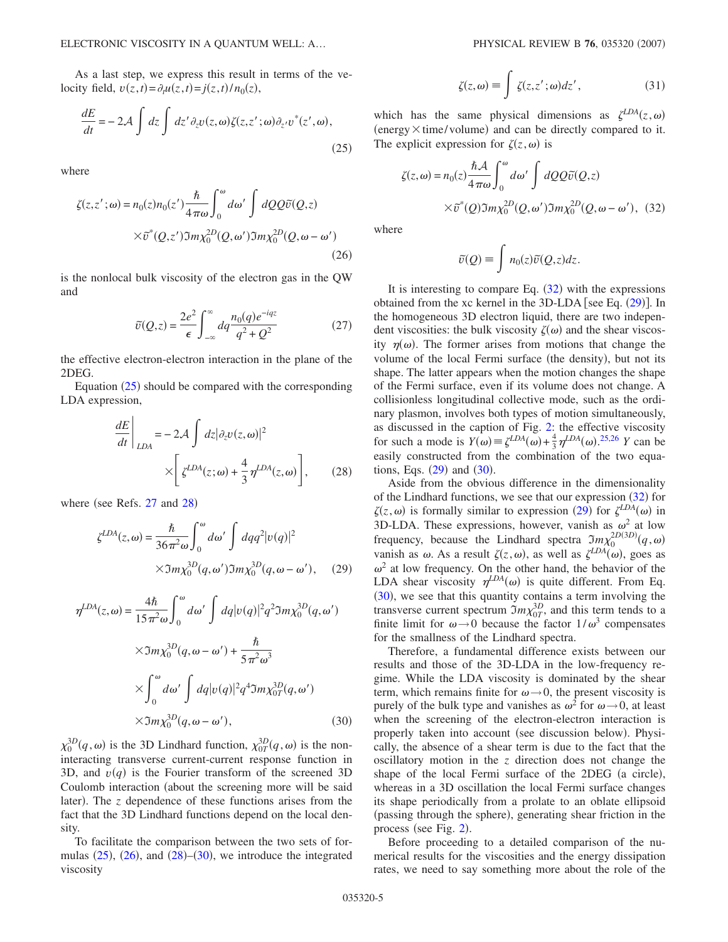As a last step, we express this result in terms of the velocity field,  $v(z,t) = \partial_t u(z,t) = j(z,t)/n_0(z)$ ,

<span id="page-4-0"></span>
$$
\frac{dE}{dt} = -2\mathcal{A} \int dz \int dz' \partial_z v(z, \omega) \zeta(z, z'; \omega) \partial_{z'} v^*(z', \omega),
$$
\n(25)

<span id="page-4-1"></span>where

$$
\zeta(z, z'; \omega) = n_0(z)n_0(z') \frac{\hbar}{4\pi\omega} \int_0^{\omega} d\omega' \int dQQ \tilde{v}(Q, z)
$$

$$
\times \tilde{v}^*(Q, z') \Im m \chi_0^{2D}(Q, \omega') \Im m \chi_0^{2D}(Q, \omega - \omega')
$$
(26)

is the nonlocal bulk viscosity of the electron gas in the QW and

$$
\tilde{v}(Q, z) = \frac{2e^2}{\epsilon} \int_{-\infty}^{\infty} dq \frac{n_0(q)e^{-iqz}}{q^2 + Q^2}
$$
 (27)

the effective electron-electron interaction in the plane of the 2DEG.

<span id="page-4-2"></span>Equation  $(25)$  $(25)$  $(25)$  should be compared with the corresponding LDA expression,

$$
\frac{dE}{dt}\Big|_{LDA} = -2\mathcal{A} \int dz |\partial_z v(z, \omega)|^2
$$

$$
\times \left[ \zeta^{LDA}(z; \omega) + \frac{4}{3} \eta^{LDA}(z, \omega) \right], \qquad (28)
$$

<span id="page-4-4"></span>where (see Refs. [27](#page-8-22) and [28](#page-8-24))

$$
\zeta^{LDA}(z,\omega) = \frac{\hbar}{36\pi^2 \omega} \int_0^{\omega} d\omega' \int dq q^2 |v(q)|^2
$$
  
 
$$
\times \Im m \chi_0^{3D}(q,\omega') \Im m \chi_0^{3D}(q,\omega - \omega'), \quad (29)
$$

$$
\eta^{LDA}(z,\omega) = \frac{4\hbar}{15\pi^2\omega} \int_0^{\omega} d\omega' \int dq |v(q)|^2 q^2 \Im m \chi_0^{3D}(q,\omega')
$$
  
 
$$
\times \Im m \chi_0^{3D}(q,\omega - \omega') + \frac{\hbar}{5\pi^2 \omega^3}
$$
  
 
$$
\times \int_0^{\omega} d\omega' \int dq |v(q)|^2 q^4 \Im m \chi_{0T}^{3D}(q,\omega')
$$
  
 
$$
\times \Im m \chi_0^{3D}(q,\omega - \omega'), \qquad (30)
$$

 $\chi_0^{3D}(q,\omega)$  is the 3D Lindhard function,  $\chi_{0T}^{3D}(q,\omega)$  is the noninteracting transverse current-current response function in 3D, and  $v(q)$  is the Fourier transform of the screened 3D Coulomb interaction (about the screening more will be said later). The *z* dependence of these functions arises from the fact that the 3D Lindhard functions depend on the local density.

To facilitate the comparison between the two sets of formulas  $(25)$  $(25)$  $(25)$ ,  $(26)$  $(26)$  $(26)$ , and  $(28)$  $(28)$  $(28)$ – $(30)$  $(30)$  $(30)$ , we introduce the integrated viscosity

$$
\zeta(z,\omega) \equiv \int \zeta(z,z';\omega)dz',\tag{31}
$$

which has the same physical dimensions as  $\zeta^{LDA}(z,\omega)$  $(energy \times time/volume)$  and can be directly compared to it. The explicit expression for  $\zeta(z,\omega)$  is

<span id="page-4-3"></span>
$$
\zeta(z,\omega) = n_0(z) \frac{\hbar \mathcal{A}}{4\pi\omega} \int_0^{\omega} d\omega' \int dQ Q \tilde{v}(Q,z)
$$

$$
\times \tilde{v}^*(Q) \Im m \chi_0^{2D}(Q,\omega') \Im m \chi_0^{2D}(Q,\omega-\omega'), \quad (32)
$$

where

$$
\tilde{v}(Q) = \int n_0(z)\tilde{v}(Q,z)dz.
$$

It is interesting to compare Eq.  $(32)$  $(32)$  $(32)$  with the expressions obtained from the xc kernel in the  $3D-LDA$  [see Eq.  $(29)$  $(29)$  $(29)$ ]. In the homogeneous 3D electron liquid, there are two independent viscosities: the bulk viscosity  $\zeta(\omega)$  and the shear viscosity  $\eta(\omega)$ . The former arises from motions that change the volume of the local Fermi surface (the density), but not its shape. The latter appears when the motion changes the shape of the Fermi surface, even if its volume does not change. A collisionless longitudinal collective mode, such as the ordinary plasmon, involves both types of motion simultaneously, as discussed in the caption of Fig. [2:](#page-1-1) the effective viscosity for such a mode is  $Y(\omega) = \zeta^{LDA}(\omega) + \frac{4}{3} \eta^{LDA}(\omega)$ .<sup>[25,](#page-8-20)[26](#page-8-21)</sup> *Y* can be easily constructed from the combination of the two equations, Eqs.  $(29)$  $(29)$  $(29)$  and  $(30)$  $(30)$  $(30)$ .

Aside from the obvious difference in the dimensionality of the Lindhard functions, we see that our expression  $(32)$  $(32)$  $(32)$  for  $\zeta(z,\omega)$  is formally similar to expression ([29](#page-4-4)) for  $\zeta^{LDA}(\omega)$  in 3D-LDA. These expressions, however, vanish as  $\omega^2$  at low frequency, because the Lindhard spectra  $\Im m \chi_0^{2D(3D)}(q,\omega)$ vanish as  $\omega$ . As a result  $\zeta(z,\omega)$ , as well as  $\zeta^{LDA}(\omega)$ , goes as  $\omega^2$  at low frequency. On the other hand, the behavior of the LDA shear viscosity  $\eta^{LDA}(\omega)$  is quite different. From Eq.  $(30)$  $(30)$  $(30)$ , we see that this quantity contains a term involving the transverse current spectrum  $\Im m \chi_{0T}^{3D}$ , and this term tends to a finite limit for  $\omega \rightarrow 0$  because the factor  $1/\omega^3$  compensates for the smallness of the Lindhard spectra.

Therefore, a fundamental difference exists between our results and those of the 3D-LDA in the low-frequency regime. While the LDA viscosity is dominated by the shear term, which remains finite for  $\omega \rightarrow 0$ , the present viscosity is purely of the bulk type and vanishes as  $\omega^2$  for  $\omega \rightarrow 0$ , at least when the screening of the electron-electron interaction is properly taken into account (see discussion below). Physically, the absence of a shear term is due to the fact that the oscillatory motion in the *z* direction does not change the shape of the local Fermi surface of the 2DEG (a circle), whereas in a 3D oscillation the local Fermi surface changes its shape periodically from a prolate to an oblate ellipsoid (passing through the sphere), generating shear friction in the process (see Fig. [2](#page-1-1)).

Before proceeding to a detailed comparison of the numerical results for the viscosities and the energy dissipation rates, we need to say something more about the role of the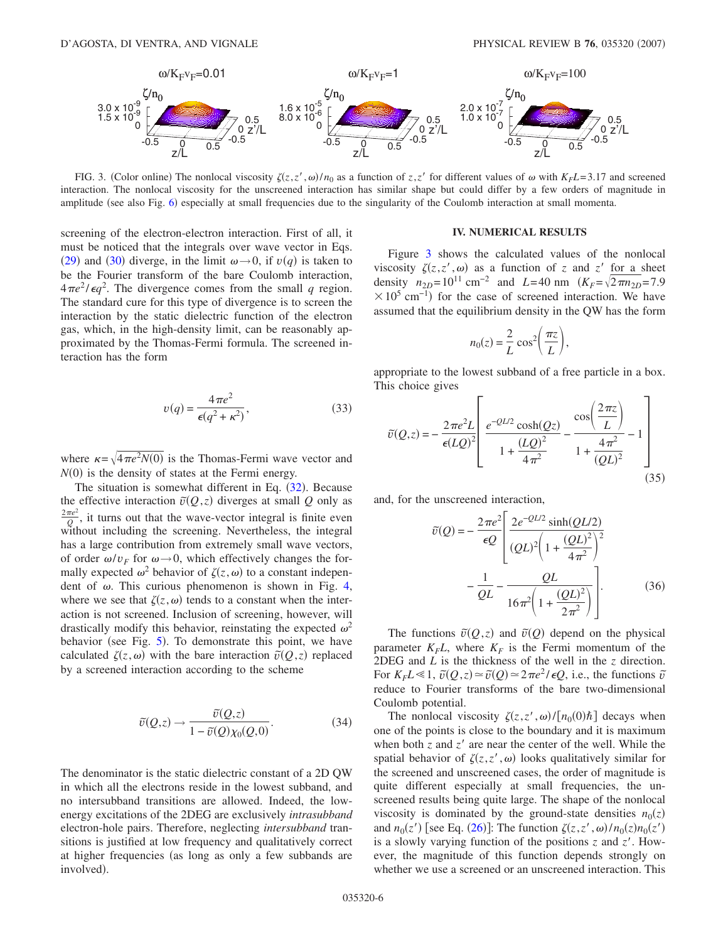<span id="page-5-0"></span>

FIG. 3. (Color online) The nonlocal viscosity  $\zeta(z, z', \omega)/n_0$  as a function of  $z, z'$  for different values of  $\omega$  with  $K_F L = 3.17$  and screened interaction. The nonlocal viscosity for the unscreened interaction has similar shape but could differ by a few orders of magnitude in amplitude (see also Fig. [6](#page-6-2)) especially at small frequencies due to the singularity of the Coulomb interaction at small momenta.

screening of the electron-electron interaction. First of all, it must be noticed that the integrals over wave vector in Eqs. ([29](#page-4-4)) and ([30](#page-4-0)) diverge, in the limit  $\omega \rightarrow 0$ , if  $v(q)$  is taken to be the Fourier transform of the bare Coulomb interaction,  $4\pi e^2/\epsilon q^2$ . The divergence comes from the small q region. The standard cure for this type of divergence is to screen the interaction by the static dielectric function of the electron gas, which, in the high-density limit, can be reasonably approximated by the Thomas-Fermi formula. The screened interaction has the form

$$
v(q) = \frac{4\pi e^2}{\epsilon(q^2 + \kappa^2)},
$$
\n(33)

where  $\kappa = \sqrt{4\pi e^2 N(0)}$  is the Thomas-Fermi wave vector and  $N(0)$  is the density of states at the Fermi energy.

The situation is somewhat different in Eq.  $(32)$  $(32)$  $(32)$ . Because the effective interaction  $\tilde{v}(Q, z)$  diverges at small *Q* only as  $\frac{2\pi e^2}{Q}$ , it turns out that the wave-vector integral is finite even without including the screening. Nevertheless, the integral has a large contribution from extremely small wave vectors, of order  $\omega/v_F$  for  $\omega \rightarrow 0$ , which effectively changes the formally expected  $\omega^2$  behavior of  $\zeta(z,\omega)$  to a constant independent of  $\omega$ . This curious phenomenon is shown in Fig. [4,](#page-6-0) where we see that  $\zeta(z,\omega)$  tends to a constant when the interaction is not screened. Inclusion of screening, however, will drastically modify this behavior, reinstating the expected  $\omega^2$ behavior (see Fig. [5](#page-6-1)). To demonstrate this point, we have calculated  $\zeta(z, \omega)$  with the bare interaction  $\tilde{v}(Q, z)$  replaced by a screened interaction according to the scheme

$$
\tilde{v}(Q,z) \to \frac{\tilde{v}(Q,z)}{1 - \tilde{v}(Q)\chi_0(Q,0)}.
$$
\n(34)

<span id="page-5-1"></span>The denominator is the static dielectric constant of a 2D QW in which all the electrons reside in the lowest subband, and no intersubband transitions are allowed. Indeed, the lowenergy excitations of the 2DEG are exclusively *intrasubband* electron-hole pairs. Therefore, neglecting *intersubband* transitions is justified at low frequency and qualitatively correct at higher frequencies (as long as only a few subbands are involved).

## **IV. NUMERICAL RESULTS**

Figure [3](#page-5-0) shows the calculated values of the nonlocal viscosity  $\zeta(z, z', \omega)$  as a function of *z* and *z'* for a sheet density  $n_{2D} = 10^{11}$  cm<sup>-2</sup> and *L*=40 nm  $(K_F = \sqrt{2 \pi n_{2D}} = 7.9$  $\times$  10<sup>5</sup> cm<sup>-1</sup>) for the case of screened interaction. We have assumed that the equilibrium density in the QW has the form

$$
n_0(z) = \frac{2}{L} \cos^2\left(\frac{\pi z}{L}\right),\,
$$

appropriate to the lowest subband of a free particle in a box. This choice gives

$$
\tilde{v}(Q, z) = -\frac{2\pi e^2 L}{\epsilon (LQ)^2} \left[ \frac{e^{-QL/2} \cosh(Qz)}{1 + \frac{(LQ)^2}{4\pi^2}} - \frac{\cos\left(\frac{2\pi z}{L}\right)}{1 + \frac{4\pi^2}{(QL)^2}} - 1 \right]
$$
\n(35)

and, for the unscreened interaction,

$$
\tilde{v}(Q) = -\frac{2\pi e^2}{\epsilon Q} \left[ \frac{2e^{-QL/2} \sinh(QL/2)}{(QL)^2 \left(1 + \frac{(QL)^2}{4\pi^2}\right)^2} - \frac{1}{QL} - \frac{QL}{16\pi^2 \left(1 + \frac{(QL)^2}{2\pi^2}\right)} \right].
$$
\n(36)

The functions  $\tilde{v}(Q, z)$  and  $\tilde{v}(Q)$  depend on the physical parameter  $K_F L$ , where  $K_F$  is the Fermi momentum of the 2DEG and *L* is the thickness of the well in the *z* direction. For  $K_F L \ll 1$ ,  $\tilde{v}(Q, z) \approx \tilde{v}(Q) \approx 2\pi e^2/\epsilon Q$ , i.e., the functions  $\tilde{v}$ reduce to Fourier transforms of the bare two-dimensional Coulomb potential.

The nonlocal viscosity  $\zeta(z, z', \omega) / [n_0(0) \hbar]$  decays when one of the points is close to the boundary and it is maximum when both  $z$  and  $z'$  are near the center of the well. While the spatial behavior of  $\zeta(z, z', \omega)$  looks qualitatively similar for the screened and unscreened cases, the order of magnitude is quite different especially at small frequencies, the unscreened results being quite large. The shape of the nonlocal viscosity is dominated by the ground-state densities  $n_0(z)$ and  $n_0(z')$  [see Eq. ([26](#page-4-1))]: The function  $\zeta(z, z', \omega)/n_0(z)n_0(z')$ is a slowly varying function of the positions *z* and *z*. However, the magnitude of this function depends strongly on whether we use a screened or an unscreened interaction. This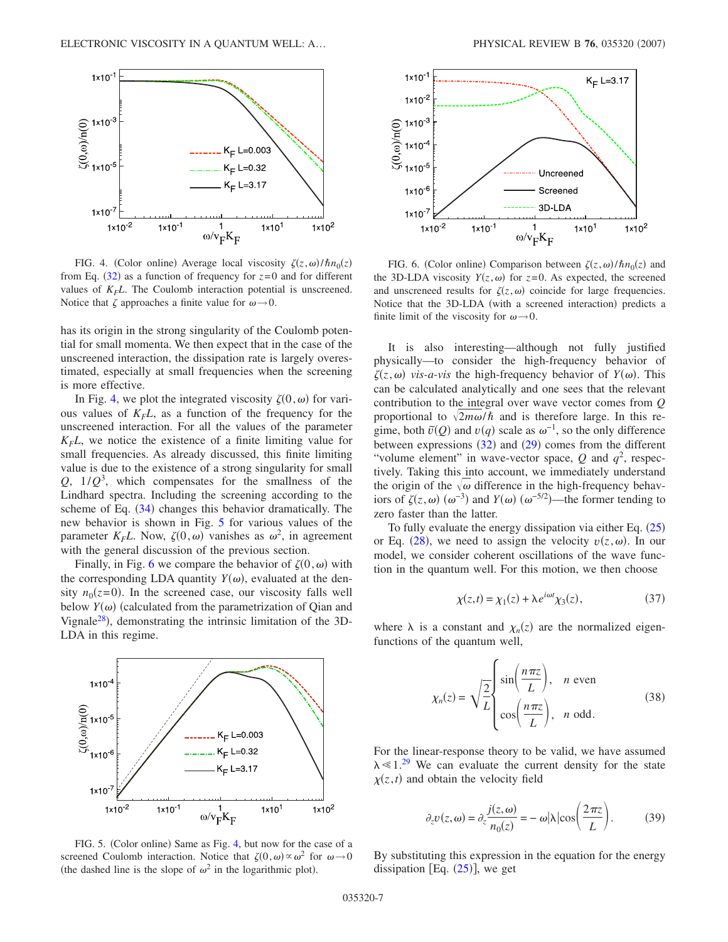<span id="page-6-0"></span>

FIG. 4. (Color online) Average local viscosity  $\zeta(z,\omega)/\hbar n_0(z)$ from Eq.  $(32)$  $(32)$  $(32)$  as a function of frequency for  $z=0$  and for different values of  $K_F L$ . The Coulomb interaction potential is unscreened. Notice that  $\zeta$  approaches a finite value for  $\omega \rightarrow 0$ .

has its origin in the strong singularity of the Coulomb potential for small momenta. We then expect that in the case of the unscreened interaction, the dissipation rate is largely overestimated, especially at small frequencies when the screening is more effective.

In Fig. [4,](#page-6-0) we plot the integrated viscosity  $\zeta(0,\omega)$  for various values of  $K<sub>F</sub>L$ , as a function of the frequency for the unscreened interaction. For all the values of the parameter  $K<sub>F</sub>L$ , we notice the existence of a finite limiting value for small frequencies. As already discussed, this finite limiting value is due to the existence of a strong singularity for small  $Q$ ,  $1/Q<sup>3</sup>$ , which compensates for the smallness of the Lindhard spectra. Including the screening according to the scheme of Eq.  $(34)$  $(34)$  $(34)$  changes this behavior dramatically. The new behavior is shown in Fig. [5](#page-6-1) for various values of the parameter  $K_F L$ . Now,  $\zeta(0,\omega)$  vanishes as  $\omega^2$ , in agreement with the general discussion of the previous section.

Finally, in Fig. [6](#page-6-2) we compare the behavior of  $\zeta(0,\omega)$  with the corresponding LDA quantity  $Y(\omega)$ , evaluated at the density  $n_0(z=0)$ . In the screened case, our viscosity falls well below  $Y(\omega)$  (calculated from the parametrization of Qian and Vignale<sup>28</sup>), demonstrating the intrinsic limitation of the 3D-LDA in this regime.

<span id="page-6-1"></span>

screened Coulomb interaction. Notice that  $\zeta(0,\omega) \propto \omega^2$  for  $\omega \to 0$ (the dashed line is the slope of  $\omega^2$  in the logarithmic plot).

<span id="page-6-2"></span>

FIG. 6. (Color online) Comparison between  $\zeta(z,\omega)/\hbar n_0(z)$  and the 3D-LDA viscosity  $Y(z, \omega)$  for  $z=0$ . As expected, the screened and unscreneed results for  $\zeta(z,\omega)$  coincide for large frequencies. Notice that the 3D-LDA (with a screened interaction) predicts a finite limit of the viscosity for  $\omega \rightarrow 0$ .

It is also interesting—although not fully justified physically—to consider the high-frequency behavior of  $\zeta(z,\omega)$  *vis-a-vis* the high-frequency behavior of  $Y(\omega)$ . This can be calculated analytically and one sees that the relevant contribution to the integral over wave vector comes from *Q* proportional to  $\sqrt{2m\omega/\hbar}$  and is therefore large. In this regime, both  $\tilde{v}(Q)$  and  $v(q)$  scale as  $\omega^{-1}$ , so the only difference between expressions  $(32)$  $(32)$  $(32)$  and  $(29)$  $(29)$  $(29)$  comes from the different "volume element" in wave-vector space,  $Q$  and  $q^2$ , respectively. Taking this into account, we immediately understand the origin of the  $\sqrt{\omega}$  difference in the high-frequency behaviors of  $\zeta(z,\omega)$  ( $\omega^{-3}$ ) and *Y*( $\omega$ ) ( $\omega^{-5/2}$ )—the former tending to zero faster than the latter.

To fully evaluate the energy dissipation via either Eq.  $(25)$  $(25)$  $(25)$ or Eq. ([28](#page-4-2)), we need to assign the velocity  $v(z, \omega)$ . In our model, we consider coherent oscillations of the wave function in the quantum well. For this motion, we then choose

$$
\chi(z,t) = \chi_1(z) + \lambda e^{i\omega t} \chi_3(z),\tag{37}
$$

where  $\lambda$  is a constant and  $\chi_n(z)$  are the normalized eigenfunctions of the quantum well,

$$
\chi_n(z) = \sqrt{\frac{2}{L}} \begin{cases} \sin\left(\frac{n\pi z}{L}\right), & n \text{ even} \\ \cos\left(\frac{n\pi z}{L}\right), & n \text{ odd.} \end{cases}
$$
(38)

For the linear-response theory to be valid, we have assumed  $\lambda \ll 1.^{29}$  $\lambda \ll 1.^{29}$  $\lambda \ll 1.^{29}$  We can evaluate the current density for the state  $\chi(z, t)$  and obtain the velocity field

$$
\partial_z v(z, \omega) = \partial_z \frac{j(z, \omega)}{n_0(z)} = -\omega |\lambda| \cos \left(\frac{2\pi z}{L}\right). \tag{39}
$$

By substituting this expression in the equation for the energy dissipation [Eq.  $(25)$  $(25)$  $(25)$ ], we get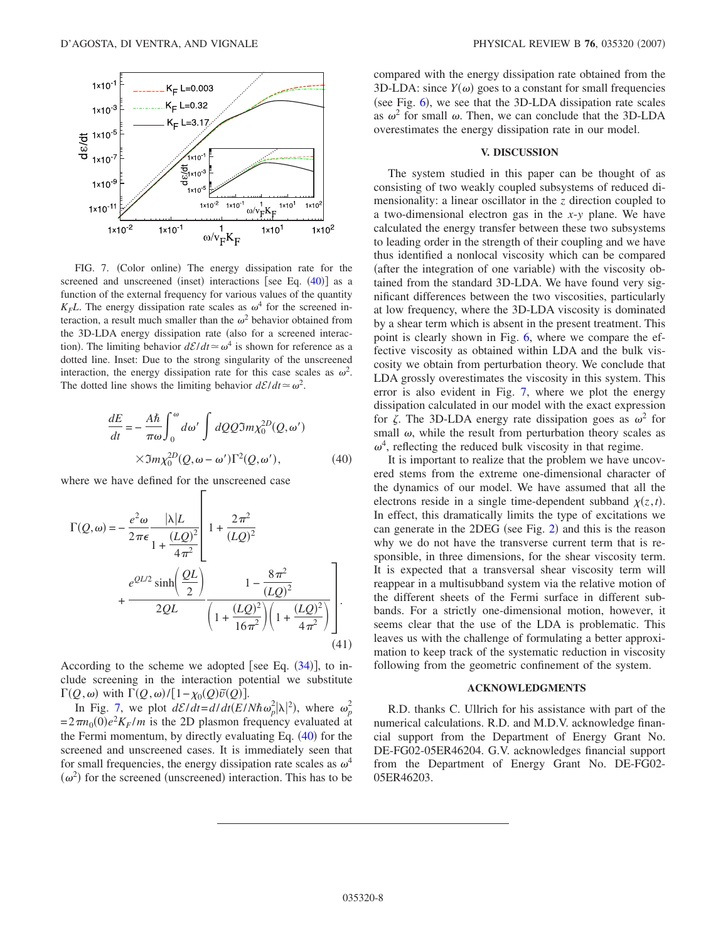<span id="page-7-0"></span>

FIG. 7. (Color online) The energy dissipation rate for the screened and unscreened (inset) interactions [see Eq.  $(40)$  $(40)$  $(40)$ ] as a function of the external frequency for various values of the quantity  $K_F L$ . The energy dissipation rate scales as  $\omega^4$  for the screened interaction, a result much smaller than the  $\omega^2$  behavior obtained from the 3D-LDA energy dissipation rate (also for a screened interaction). The limiting behavior  $d\mathcal{E}/dt \approx \omega^4$  is shown for reference as a dotted line. Inset: Due to the strong singularity of the unscreened interaction, the energy dissipation rate for this case scales as  $\omega^2$ . The dotted line shows the limiting behavior  $d\mathcal{E}/dt \approx \omega^2$ .

<span id="page-7-1"></span>
$$
\frac{dE}{dt} = -\frac{A\hbar}{\pi\omega} \int_0^{\omega} d\omega' \int dQQ \Im m \chi_0^{2D}(Q, \omega')
$$
  
 
$$
\times \Im m \chi_0^{2D}(Q, \omega - \omega') \Gamma^2(Q, \omega'), \qquad (40)
$$

where we have defined for the unscreened case

$$
\Gamma(Q,\omega) = -\frac{e^2 \omega}{2\pi \epsilon} \frac{|\lambda|L}{1 + \frac{(LQ)^2}{4\pi^2}} \left[ 1 + \frac{2\pi^2}{(LQ)^2} + \frac{e^{QL/2} \sinh\left(\frac{QL}{2}\right)}{2QL} \frac{1 - \frac{8\pi^2}{(LQ)^2}}{\left(1 + \frac{(LQ)^2}{16\pi^2}\right)\left(1 + \frac{(LQ)^2}{4\pi^2}\right)} \right].
$$
\n(41)

Г

According to the scheme we adopted [see Eq.  $(34)$  $(34)$  $(34)$ ], to include screening in the interaction potential we substitute  $\Gamma(Q, \omega)$  with  $\Gamma(Q, \omega) / [1 - \chi_0(Q) \tilde{v}(Q)]$ .

In Fig. [7,](#page-7-0) we plot  $d\mathcal{E}/dt = d/dt(E/N\hbar\omega_p^2|\lambda|^2)$ , where  $\omega_p^2$  $=2\pi n_0(0)e^2K_F/m$  is the 2D plasmon frequency evaluated at the Fermi momentum, by directly evaluating Eq.  $(40)$  $(40)$  $(40)$  for the screened and unscreened cases. It is immediately seen that for small frequencies, the energy dissipation rate scales as  $\omega^4$  $(\omega^2)$  for the screened (unscreened) interaction. This has to be

compared with the energy dissipation rate obtained from the 3D-LDA: since  $Y(\omega)$  goes to a constant for small frequencies (see Fig.  $6$ ), we see that the 3D-LDA dissipation rate scales as  $\omega^2$  for small  $\omega$ . Then, we can conclude that the 3D-LDA overestimates the energy dissipation rate in our model.

## **V. DISCUSSION**

The system studied in this paper can be thought of as consisting of two weakly coupled subsystems of reduced dimensionality: a linear oscillator in the *z* direction coupled to a two-dimensional electron gas in the *x*-*y* plane. We have calculated the energy transfer between these two subsystems to leading order in the strength of their coupling and we have thus identified a nonlocal viscosity which can be compared (after the integration of one variable) with the viscosity obtained from the standard 3D-LDA. We have found very significant differences between the two viscosities, particularly at low frequency, where the 3D-LDA viscosity is dominated by a shear term which is absent in the present treatment. This point is clearly shown in Fig. [6,](#page-6-2) where we compare the effective viscosity as obtained within LDA and the bulk viscosity we obtain from perturbation theory. We conclude that LDA grossly overestimates the viscosity in this system. This error is also evident in Fig. [7,](#page-7-0) where we plot the energy dissipation calculated in our model with the exact expression for  $\zeta$ . The 3D-LDA energy rate dissipation goes as  $\omega^2$  for small  $\omega$ , while the result from perturbation theory scales as  $\omega^4$ , reflecting the reduced bulk viscosity in that regime.

It is important to realize that the problem we have uncovered stems from the extreme one-dimensional character of the dynamics of our model. We have assumed that all the electrons reside in a single time-dependent subband  $\chi(z,t)$ . In effect, this dramatically limits the type of excitations we can generate in the [2](#page-1-1)DEG (see Fig. 2) and this is the reason why we do not have the transverse current term that is responsible, in three dimensions, for the shear viscosity term. It is expected that a transversal shear viscosity term will reappear in a multisubband system via the relative motion of the different sheets of the Fermi surface in different subbands. For a strictly one-dimensional motion, however, it seems clear that the use of the LDA is problematic. This leaves us with the challenge of formulating a better approximation to keep track of the systematic reduction in viscosity following from the geometric confinement of the system.

## **ACKNOWLEDGMENTS**

R.D. thanks C. Ullrich for his assistance with part of the numerical calculations. R.D. and M.D.V. acknowledge financial support from the Department of Energy Grant No. DE-FG02-05ER46204. G.V. acknowledges financial support from the Department of Energy Grant No. DE-FG02- 05ER46203.